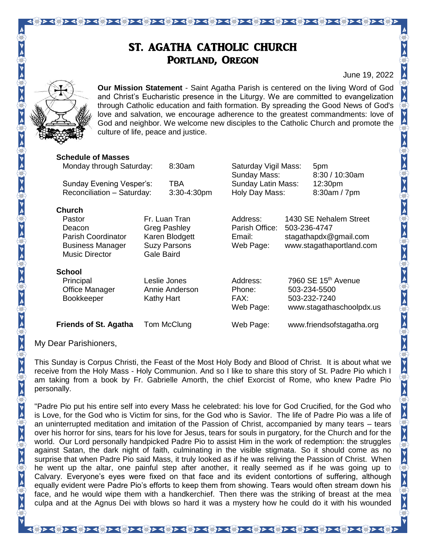### ST. AGATHA CATHOLIC CHURCH PORTLAND, OREGON

<u> २९३२ - १९३२ - १९३२ - १९३२ - १९३२ - १९३२ - १९३२ - १९३२ - १९३२ - १९३२ - १९३२ - १९३२ - १९३२ - १९</u>

June 19, 2022

 $\{ \hat{y} \} \prec \{ \hat{y} \} \prec \{ \hat{y} \} \prec \{ \hat{y} \} \succ \prec \{ \hat{y} \} \succ \prec \{ \hat{y} \} \succ \prec \{ \hat{y} \} \succ \prec \{ \hat{y} \} \succ \prec \{ \hat{y} \} \succ \prec \{ \hat{y} \} \succ \prec \{ \hat{y} \} \succ \prec \{ \hat{y} \} \succ \prec \{ \hat{y} \} \succ \prec \{ \hat{y} \} \succ \prec \{ \hat{y} \} \succ \prec \{ \hat{y} \} \succ \prec \{ \hat{y} \} \succ \prec \{ \hat{$ 



**Our Mission Statement** - Saint Agatha Parish is centered on the living Word of God and Christ's Eucharistic presence in the Liturgy. We are committed to evangelization through Catholic education and faith formation. By spreading the Good News of God's love and salvation, we encourage adherence to the greatest commandments: love of God and neighbor. We welcome new disciples to the Catholic Church and promote the culture of life, peace and justice.

| <b>Schedule of Masses</b>    |                                                        |                |                                      |                                                                 |                           |
|------------------------------|--------------------------------------------------------|----------------|--------------------------------------|-----------------------------------------------------------------|---------------------------|
| Monday through Saturday:     |                                                        | $8:30$ am      | Saturday Vigil Mass:<br>Sunday Mass: |                                                                 | 5pm<br>8:30 / 10:30am     |
| Sunday Evening Vesper's:     |                                                        | TBA            | Sunday Latin Mass:<br>Holy Day Mass: |                                                                 | 12:30 <sub>pm</sub>       |
| Reconciliation - Saturday:   |                                                        | 3:30-4:30pm    |                                      |                                                                 | 8:30am / 7pm              |
| <b>Church</b>                |                                                        |                |                                      |                                                                 |                           |
| Pastor                       | Fr. Luan Tran<br><b>Greg Pashley</b><br>Karen Blodgett |                | Address:                             | 1430 SE Nehalem Street<br>503-236-4747<br>stagathapdx@gmail.com |                           |
| Deacon                       |                                                        |                | Parish Office:<br>Email:             |                                                                 |                           |
| Parish Coordinator           |                                                        |                |                                      |                                                                 |                           |
| <b>Business Manager</b>      | <b>Suzy Parsons</b>                                    |                | Web Page:                            | www.stagathaportland.com                                        |                           |
| <b>Music Director</b>        | Gale Baird                                             |                |                                      |                                                                 |                           |
| <b>School</b>                |                                                        |                |                                      |                                                                 |                           |
| Principal                    | Leslie Jones                                           |                | Address:                             | 7960 SE 15 <sup>th</sup> Avenue                                 |                           |
| Office Manager               |                                                        | Annie Anderson | Phone:                               |                                                                 | 503-234-5500              |
| Bookkeeper                   | Kathy Hart                                             |                | FAX:                                 |                                                                 | 503-232-7240              |
|                              |                                                        |                | Web Page:                            |                                                                 | www.stagathaschoolpdx.us  |
| <b>Friends of St. Agatha</b> |                                                        | Tom McClung    | Web Page:                            |                                                                 | www.friendsofstagatha.org |

My Dear Parishioners,

This Sunday is Corpus Christi, the Feast of the Most Holy Body and Blood of Christ. It is about what we receive from the Holy Mass - Holy Communion. And so I like to share this story of St. Padre Pio which I am taking from a book by Fr. Gabrielle Amorth, the chief Exorcist of Rome, who knew Padre Pio personally.

"Padre Pio put his entire self into every Mass he celebrated: his love for God Crucified, for the God who is Love, for the God who is Victim for sins, for the God who is Savior. The life of Padre Pio was a life of an uninterrupted meditation and imitation of the Passion of Christ, accompanied by many tears – tears over his horror for sins, tears for his love for Jesus, tears for souls in purgatory, for the Church and for the world. Our Lord personally handpicked Padre Pio to assist Him in the work of redemption: the struggles against Satan, the dark night of faith, culminating in the visible stigmata. So it should come as no surprise that when Padre Pio said Mass, it truly looked as if he was reliving the Passion of Christ. When he went up the altar, one painful step after another, it really seemed as if he was going up to Calvary. Everyone's eyes were fixed on that face and its evident contortions of suffering, although equally evident were Padre Pio's efforts to keep them from showing. Tears would often stream down his face, and he would wipe them with a handkerchief. Then there was the striking of breast at the mea culpa and at the Agnus Dei with blows so hard it was a mystery how he could do it with his wounded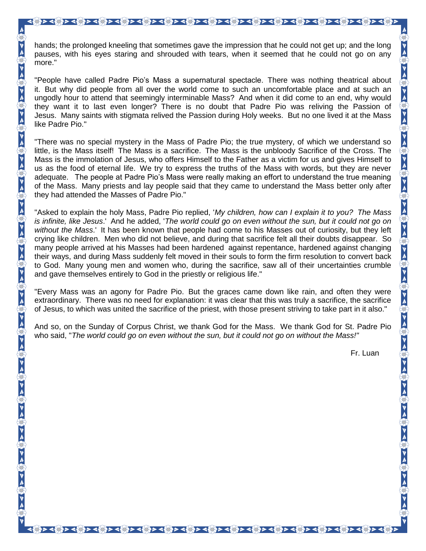hands; the prolonged kneeling that sometimes gave the impression that he could not get up; and the long pauses, with his eyes staring and shrouded with tears, when it seemed that he could not go on any more."

"People have called Padre Pio's Mass a supernatural spectacle. There was nothing theatrical about it. But why did people from all over the world come to such an uncomfortable place and at such an ungodly hour to attend that seemingly interminable Mass? And when it did come to an end, why would they want it to last even longer? There is no doubt that Padre Pio was reliving the Passion of Jesus. Many saints with stigmata relived the Passion during Holy weeks. But no one lived it at the Mass like Padre Pio."

"There was no special mystery in the Mass of Padre Pio; the true mystery, of which we understand so little, is the Mass itself! The Mass is a sacrifice. The Mass is the unbloody Sacrifice of the Cross. The Mass is the immolation of Jesus, who offers Himself to the Father as a victim for us and gives Himself to us as the food of eternal life. We try to express the truths of the Mass with words, but they are never adequate. The people at Padre Pio's Mass were really making an effort to understand the true meaning of the Mass. Many priests and lay people said that they came to understand the Mass better only after they had attended the Masses of Padre Pio."

"Asked to explain the holy Mass, Padre Pio replied, '*My children, how can I explain it to you? The Mass is infinite, like Jesus*.' And he added, '*The world could go on even without the sun, but it could not go on without the Mass*.' It has been known that people had come to his Masses out of curiosity, but they left crying like children. Men who did not believe, and during that sacrifice felt all their doubts disappear. So many people arrived at his Masses had been hardened against repentance, hardened against changing their ways, and during Mass suddenly felt moved in their souls to form the firm resolution to convert back to God. Many young men and women who, during the sacrifice, saw all of their uncertainties crumble and gave themselves entirely to God in the priestly or religious life."

"Every Mass was an agony for Padre Pio. But the graces came down like rain, and often they were extraordinary. There was no need for explanation: it was clear that this was truly a sacrifice, the sacrifice of Jesus, to which was united the sacrifice of the priest, with those present striving to take part in it also."

And so, on the Sunday of Corpus Christ, we thank God for the Mass. We thank God for St. Padre Pio who said, "*The world could go on even without the sun, but it could not go on without the Mass!"*

२ ५६ ३२ ५६ ३२ ५६ ३२ ५६ ३२ ५६ ३२ ५६ ३२ ५६ ३२ ५६ ३२ ५६ ३२ ५६ ३२ ५६ ३२ ५६

Fr. Luan

 $\frac{1}{2}$  a  $\frac{1}{2}$  a  $\frac{1}{2}$  a  $\frac{1}{2}$  a  $\frac{1}{2}$  a  $\frac{1}{2}$  a  $\frac{1}{2}$  a  $\frac{1}{2}$  a  $\frac{1}{2}$  a  $\frac{1}{2}$  a  $\frac{1}{2}$  a  $\frac{1}{2}$  a  $\frac{1}{2}$  a  $\frac{1}{2}$  a  $\frac{1}{2}$  a  $\frac{1}{2}$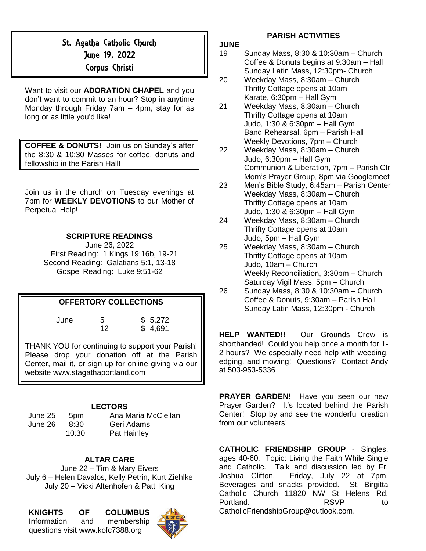# St. Agatha Catholic Church June 19, 2022

### Corpus Christi

Want to visit our **ADORATION CHAPEL** and you don't want to commit to an hour? Stop in anytime Monday through Friday 7am – 4pm, stay for as long or as little you'd like!

**COFFEE & DONUTS!** Join us on Sunday's after the 8:30 & 10:30 Masses for coffee, donuts and fellowship in the Parish Hall!

Join us in the church on Tuesday evenings at 7pm for **WEEKLY DEVOTIONS** to our Mother of Perpetual Help!

#### **SCRIPTURE READINGS**

June 26, 2022 First Reading: 1 Kings 19:16b, 19-21 Second Reading: Galatians 5:1, 13-18 Gospel Reading: Luke 9:51-62

#### **OFFERTORY COLLECTIONS**

June 5 \$ 5,272 12 \$ 4,691

THANK YOU for continuing to support your Parish! Please drop your donation off at the Parish Center, mail it, or sign up for online giving via our website www.stagathaportland.com

#### **LECTORS**

| June 25 |  |
|---------|--|
| June 26 |  |

5pm Ana Maria McClellan 8:30 Geri Adams 10:30 Pat Hainley

#### **ALTAR CARE**

June 22 – Tim & Mary Eivers July 6 – Helen Davalos, Kelly Petrin, Kurt Ziehlke July 20 – Vicki Altenhofen & Patti King

#### **KNIGHTS OF COLUMBUS** Information and membership questions visit www.kofc7388.org



#### **PARISH ACTIVITIES**

#### **JUNE**

- 19 Sunday Mass, 8:30 & 10:30am Church Coffee & Donuts begins at 9:30am – Hall Sunday Latin Mass, 12:30pm- Church
- 20 Weekday Mass, 8:30am Church Thrifty Cottage opens at 10am Karate, 6:30pm – Hall Gym
- 21 Weekday Mass, 8:30am Church Thrifty Cottage opens at 10am Judo, 1:30 & 6:30pm – Hall Gym Band Rehearsal, 6pm – Parish Hall Weekly Devotions, 7pm – Church
- 22 Weekday Mass, 8:30am Church Judo, 6:30pm – Hall Gym Communion & Liberation, 7pm – Parish Ctr Mom's Prayer Group, 8pm via Googlemeet
- 23 Men's Bible Study, 6:45am Parish Center Weekday Mass, 8:30am – Church Thrifty Cottage opens at 10am Judo, 1:30 & 6:30pm – Hall Gym
- 24 Weekday Mass, 8:30am Church Thrifty Cottage opens at 10am Judo, 5pm – Hall Gym
- 25 Weekday Mass, 8:30am Church Thrifty Cottage opens at 10am Judo, 10am – Church Weekly Reconciliation, 3:30pm – Church Saturday Vigil Mass, 5pm – Church
- 26 Sunday Mass, 8:30 & 10:30am Church Coffee & Donuts, 9:30am – Parish Hall Sunday Latin Mass, 12:30pm - Church

**HELP WANTED!!** Our Grounds Crew is shorthanded! Could you help once a month for 1- 2 hours? We especially need help with weeding, edging, and mowing! Questions? Contact Andy at 503-953-5336

**PRAYER GARDEN!** Have you seen our new Prayer Garden? It's located behind the Parish Center! Stop by and see the wonderful creation from our volunteers!

**CATHOLIC FRIENDSHIP GROUP** - Singles, ages 40-60. Topic: Living the Faith While Single and Catholic. Talk and discussion led by Fr. Joshua Clifton. Friday, July 22 at 7pm. Beverages and snacks provided. St. Birgitta Catholic Church 11820 NW St Helens Rd, Portland. **RSVP** to [CatholicFriendshipGroup@outlook.com.](mailto:CatholicFriendshipGroup@outlook.com)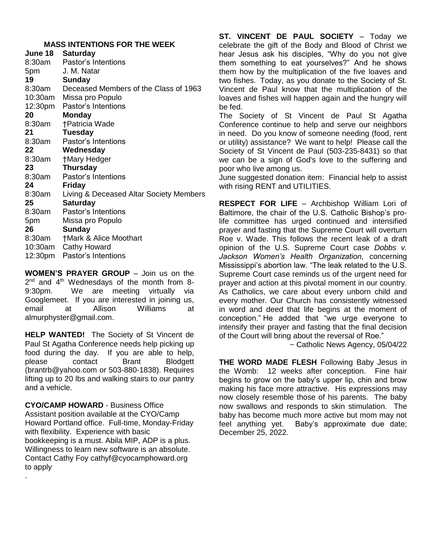#### **MASS INTENTIONS FOR THE WEEK**

| June 18 | <b>Saturday</b>                         |
|---------|-----------------------------------------|
| 8:30am  | Pastor's Intentions                     |
| 5pm     | J. M. Natar                             |
| 19      | Sunday                                  |
| 8:30am  | Deceased Members of the Class of 1963   |
| 10:30am | Missa pro Populo                        |
| 12:30pm | Pastor's Intentions                     |
| 20      | <b>Monday</b>                           |
| 8:30am  | †Patricia Wade                          |
| 21      | <b>Tuesday</b>                          |
| 8:30am  | Pastor's Intentions                     |
| 22      | Wednesday                               |
| 8:30am  | †Mary Hedger                            |
| 23      | <b>Thursday</b>                         |
| 8:30am  | Pastor's Intentions                     |
| 24      | Friday                                  |
| 8:30am  | Living & Deceased Altar Society Members |
| 25      | <b>Saturday</b>                         |
| 8:30am  | Pastor's Intentions                     |
| 5pm     | Missa pro Populo                        |
| 26      | <b>Sunday</b>                           |
| 8:30am  | <b>†Mark &amp; Alice Moothart</b>       |
| 10:30am | Cathy Howard                            |
| 12:30pm | Pastor's Intentions                     |

**WOMEN'S PRAYER GROUP** – Join us on the  $2<sup>nd</sup>$  and  $4<sup>th</sup>$  Wednesdays of the month from 8-9:30pm. We are meeting virtually via Googlemeet. If you are interested in joining us, email at Allison Williams at almurphyster@gmail.com.

**HELP WANTED!** The Society of St Vincent de Paul St Agatha Conference needs help picking up food during the day. If you are able to help, please contact Brant Blodgett (brantrb@yahoo.com or 503-880-1838). Requires lifting up to 20 lbs and walking stairs to our pantry and a vehicle.

**CYO/CAMP HOWARD** - Business Office Assistant position available at the CYO/Camp Howard Portland office. Full-time, Monday-Friday with flexibility. Experience with basic bookkeeping is a must. Abila MIP, ADP is a plus. Willingness to learn new software is an absolute. Contact Cathy Foy [cathyf@cyocamphoward.org](mailto:cathyf@cyocamphoward.org) to apply

.

**ST. VINCENT DE PAUL SOCIETY** – Today we celebrate the gift of the Body and Blood of Christ we hear Jesus ask his disciples, "Why do you not give them something to eat yourselves?" And he shows them how by the multiplication of the five loaves and two fishes. Today, as you donate to the Society of St. Vincent de Paul know that the multiplication of the loaves and fishes will happen again and the hungry will be fed.

The Society of St Vincent de Paul St Agatha Conference continue to help and serve our neighbors in need. Do you know of someone needing (food, rent or utility) assistance? We want to help! Please call the Society of St Vincent de Paul (503-235-8431) so that we can be a sign of God's love to the suffering and poor who live among us.

June suggested donation item: Financial help to assist with rising RENT and UTILITIES.

**RESPECT FOR LIFE** – Archbishop William Lori of Baltimore, the chair of the U.S. Catholic Bishop's prolife committee has urged continued and intensified prayer and fasting that the Supreme Court will overturn Roe v. Wade. This follows the recent leak of a draft opinion of the U.S. Supreme Court case *Dobbs v. Jackson Women's Health Organization,* concerning Mississippi's abortion law. "The leak related to the U.S. Supreme Court case reminds us of the urgent need for prayer and action at this pivotal moment in our country. As Catholics, we care about every unborn child and every mother. Our Church has consistently witnessed in word and deed that life begins at the moment of conception." He added that "we urge everyone to intensify their prayer and fasting that the final decision of the Court will bring about the reversal of Roe."

~ Catholic News Agency, 05/04/22

**THE WORD MADE FLESH** Following Baby Jesus in the Womb: 12 weeks after conception. Fine hair begins to grow on the baby's upper lip, chin and brow making his face more attractive. His expressions may now closely resemble those of his parents. The baby now swallows and responds to skin stimulation. The baby has become much more active but mom may not feel anything yet. Baby's approximate due date; December 25, 2022.